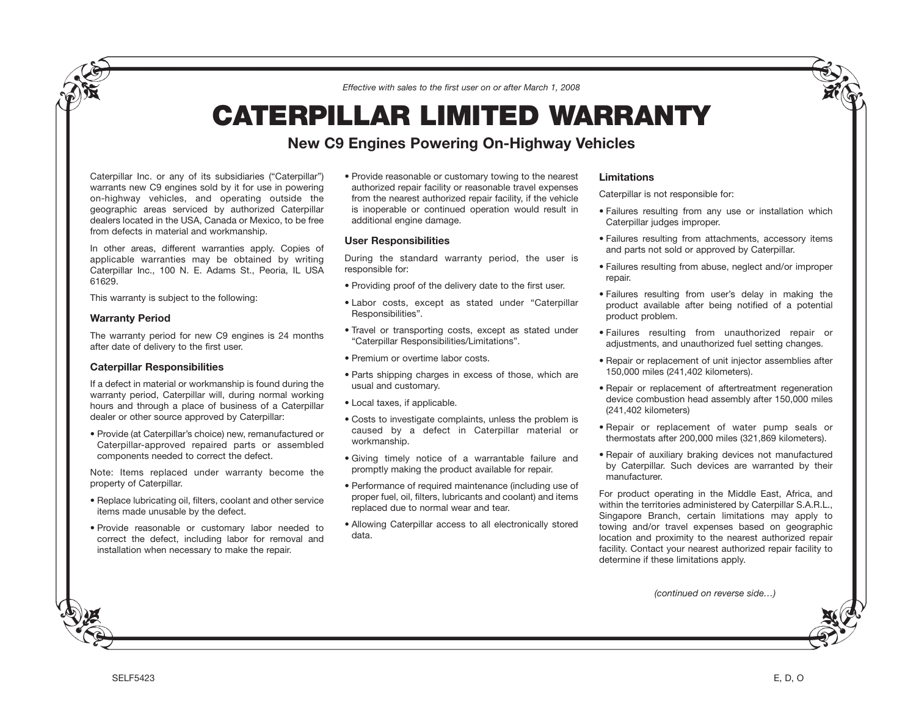*Effective with sales to the first user on or after March 1, 2008*

# **CATERPILLAR LIMITED WARRANTY**

# **New C9 Engines Powering On-Highway Vehicles**

Caterpillar Inc. or any of its subsidiaries ("Caterpillar") warrants new C9 engines sold by it for use in powering on-highway vehicles, and operating outside the geographic areas serviced by authorized Caterpillar dealers located in the USA, Canada or Mexico, to be free from defects in material and workmanship.

In other areas, different warranties apply. Copies of applicable warranties may be obtained by writing Caterpillar Inc., 100 N. E. Adams St., Peoria, IL USA 61629.

This warranty is subject to the following:

#### **Warranty Period**

The warranty period for new C9 engines is 24 months after date of delivery to the first user.

## **Caterpillar Responsibilities**

If a defect in material or workmanship is found during the warranty period, Caterpillar will, during normal working hours and through a place of business of a Caterpillar dealer or other source approved by Caterpillar:

• Provide (at Caterpillar's choice) new, remanufactured or Caterpillar-approved repaired parts or assembled components needed to correct the defect.

Note: Items replaced under warranty become the property of Caterpillar.

- Replace lubricating oil, filters, coolant and other service items made unusable by the defect.
- Provide reasonable or customary labor needed to correct the defect, including labor for removal and installation when necessary to make the repair.

• Provide reasonable or customary towing to the nearest authorized repair facility or reasonable travel expenses from the nearest authorized repair facility, if the vehicle is inoperable or continued operation would result in additional engine damage.

#### **User Responsibilities**

During the standard warranty period, the user is responsible for:

- Providing proof of the delivery date to the first user.
- Labor costs, except as stated under "Caterpillar Responsibilities".
- Travel or transporting costs, except as stated under "Caterpillar Responsibilities/Limitations".
- Premium or overtime labor costs.
- Parts shipping charges in excess of those, which are usual and customary.
- Local taxes, if applicable.
- Costs to investigate complaints, unless the problem is caused by a defect in Caterpillar material or workmanship.
- Giving timely notice of a warrantable failure and promptly making the product available for repair.
- Performance of required maintenance (including use of proper fuel, oil, filters, lubricants and coolant) and items replaced due to normal wear and tear.
- Allowing Caterpillar access to all electronically stored data.

### **Limitations**

Caterpillar is not responsible for:

- Failures resulting from any use or installation which Caterpillar judges improper.
- Failures resulting from attachments, accessory items and parts not sold or approved by Caterpillar.
- Failures resulting from abuse, neglect and/or improper repair.
- Failures resulting from user's delay in making the product available after being notified of a potential product problem.
- Failures resulting from unauthorized repair or adjustments, and unauthorized fuel setting changes.
- Repair or replacement of unit injector assemblies after 150,000 miles (241,402 kilometers).
- Repair or replacement of aftertreatment regeneration device combustion head assembly after 150,000 miles (241,402 kilometers)
- Repair or replacement of water pump seals or thermostats after 200,000 miles (321,869 kilometers).
- Repair of auxiliary braking devices not manufactured by Caterpillar. Such devices are warranted by their manufacturer.

For product operating in the Middle East, Africa, and within the territories administered by Caterpillar S.A.R.L., Singapore Branch, certain limitations may apply to towing and/or travel expenses based on geographic location and proximity to the nearest authorized repair facility. Contact your nearest authorized repair facility to determine if these limitations apply.

*(continued on reverse side…)*